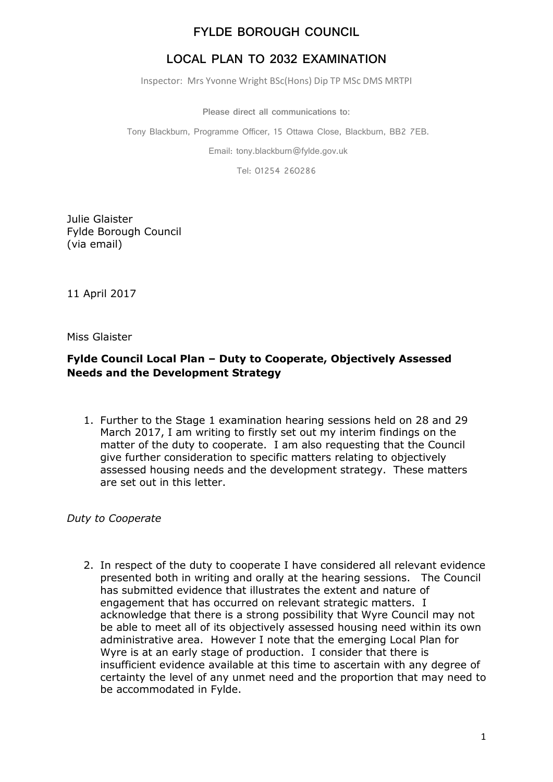# **LOCAL PLAN TO 2032 EXAMINATION**

Inspector: Mrs Yvonne Wright BSc(Hons) Dip TP MSc DMS MRTPI

**Please direct all communications to:**

Tony Blackburn, Programme Officer, 15 Ottawa Close, Blackburn, BB2 7EB.

Email: tony.blackburn@fylde.gov.uk

Tel: 01254 260286

Julie Glaister Fylde Borough Council (via email)

11 April 2017

Miss Glaister

#### **Fylde Council Local Plan – Duty to Cooperate, Objectively Assessed Needs and the Development Strategy**

1. Further to the Stage 1 examination hearing sessions held on 28 and 29 March 2017, I am writing to firstly set out my interim findings on the matter of the duty to cooperate. I am also requesting that the Council give further consideration to specific matters relating to objectively assessed housing needs and the development strategy. These matters are set out in this letter.

*Duty to Cooperate*

2. In respect of the duty to cooperate I have considered all relevant evidence presented both in writing and orally at the hearing sessions. The Council has submitted evidence that illustrates the extent and nature of engagement that has occurred on relevant strategic matters. I acknowledge that there is a strong possibility that Wyre Council may not be able to meet all of its objectively assessed housing need within its own administrative area. However I note that the emerging Local Plan for Wyre is at an early stage of production. I consider that there is insufficient evidence available at this time to ascertain with any degree of certainty the level of any unmet need and the proportion that may need to be accommodated in Fylde.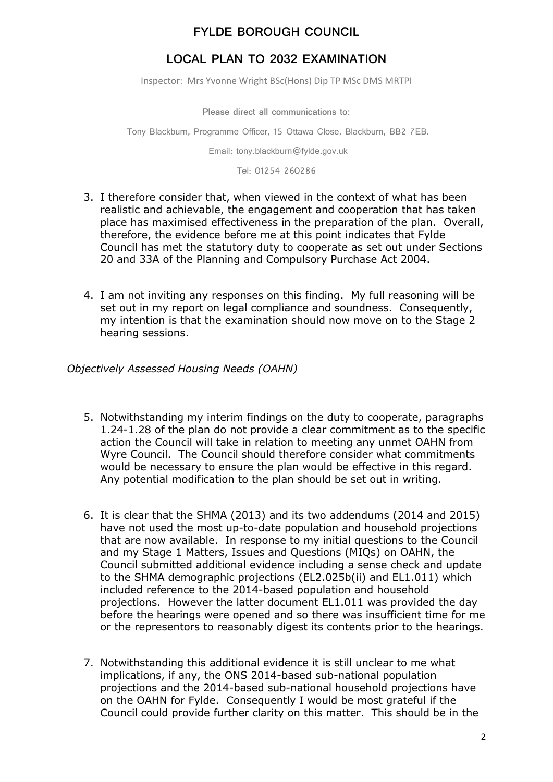# **LOCAL PLAN TO 2032 EXAMINATION**

Inspector: Mrs Yvonne Wright BSc(Hons) Dip TP MSc DMS MRTPI

**Please direct all communications to:**

Tony Blackburn, Programme Officer, 15 Ottawa Close, Blackburn, BB2 7EB.

Email: tony.blackburn@fylde.gov.uk

Tel: 01254 260286

- 3. I therefore consider that, when viewed in the context of what has been realistic and achievable, the engagement and cooperation that has taken place has maximised effectiveness in the preparation of the plan. Overall, therefore, the evidence before me at this point indicates that Fylde Council has met the statutory duty to cooperate as set out under Sections 20 and 33A of the Planning and Compulsory Purchase Act 2004.
- 4. I am not inviting any responses on this finding. My full reasoning will be set out in my report on legal compliance and soundness. Consequently, my intention is that the examination should now move on to the Stage 2 hearing sessions.

*Objectively Assessed Housing Needs (OAHN)*

- 5. Notwithstanding my interim findings on the duty to cooperate, paragraphs 1.24-1.28 of the plan do not provide a clear commitment as to the specific action the Council will take in relation to meeting any unmet OAHN from Wyre Council. The Council should therefore consider what commitments would be necessary to ensure the plan would be effective in this regard. Any potential modification to the plan should be set out in writing.
- 6. It is clear that the SHMA (2013) and its two addendums (2014 and 2015) have not used the most up-to-date population and household projections that are now available. In response to my initial questions to the Council and my Stage 1 Matters, Issues and Questions (MIQs) on OAHN, the Council submitted additional evidence including a sense check and update to the SHMA demographic projections (EL2.025b(ii) and EL1.011) which included reference to the 2014-based population and household projections. However the latter document EL1.011 was provided the day before the hearings were opened and so there was insufficient time for me or the representors to reasonably digest its contents prior to the hearings.
- 7. Notwithstanding this additional evidence it is still unclear to me what implications, if any, the ONS 2014-based sub-national population projections and the 2014-based sub-national household projections have on the OAHN for Fylde. Consequently I would be most grateful if the Council could provide further clarity on this matter. This should be in the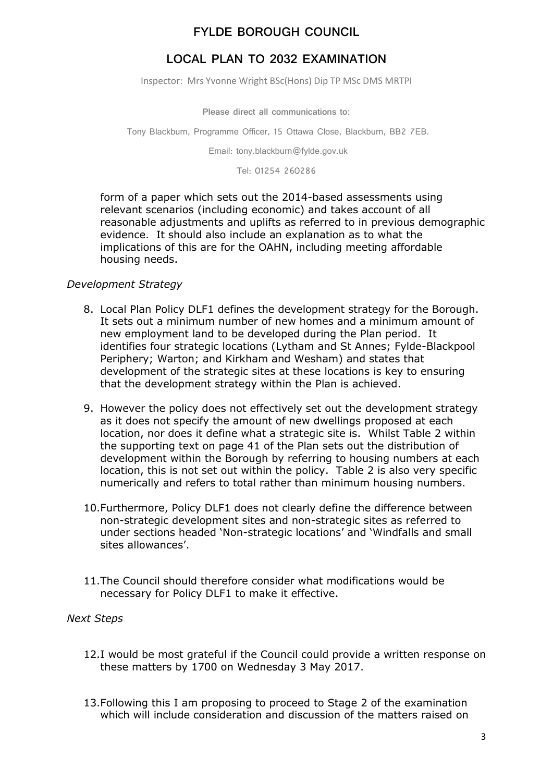## **LOCAL PLAN TO 2032 EXAMINATION**

Inspector: Mrs Yvonne Wright BSc(Hons) Dip TP MSc DMS MRTPI

**Please direct all communications to:**

Tony Blackburn, Programme Officer, 15 Ottawa Close, Blackburn, BB2 7EB.

Email: tony.blackburn@fylde.gov.uk

Tel: 01254 260286

form of a paper which sets out the 2014-based assessments using relevant scenarios (including economic) and takes account of all reasonable adjustments and uplifts as referred to in previous demographic evidence. It should also include an explanation as to what the implications of this are for the OAHN, including meeting affordable housing needs.

#### *Development Strategy*

- 8. Local Plan Policy DLF1 defines the development strategy for the Borough. It sets out a minimum number of new homes and a minimum amount of new employment land to be developed during the Plan period. It identifies four strategic locations (Lytham and St Annes; Fylde-Blackpool Periphery; Warton; and Kirkham and Wesham) and states that development of the strategic sites at these locations is key to ensuring that the development strategy within the Plan is achieved.
- 9. However the policy does not effectively set out the development strategy as it does not specify the amount of new dwellings proposed at each location, nor does it define what a strategic site is. Whilst Table 2 within the supporting text on page 41 of the Plan sets out the distribution of development within the Borough by referring to housing numbers at each location, this is not set out within the policy. Table 2 is also very specific numerically and refers to total rather than minimum housing numbers.
- 10.Furthermore, Policy DLF1 does not clearly define the difference between non-strategic development sites and non-strategic sites as referred to under sections headed 'Non-strategic locations' and 'Windfalls and small sites allowances'.
- 11.The Council should therefore consider what modifications would be necessary for Policy DLF1 to make it effective.

#### *Next Steps*

- 12.I would be most grateful if the Council could provide a written response on these matters by 1700 on Wednesday 3 May 2017.
- 13.Following this I am proposing to proceed to Stage 2 of the examination which will include consideration and discussion of the matters raised on